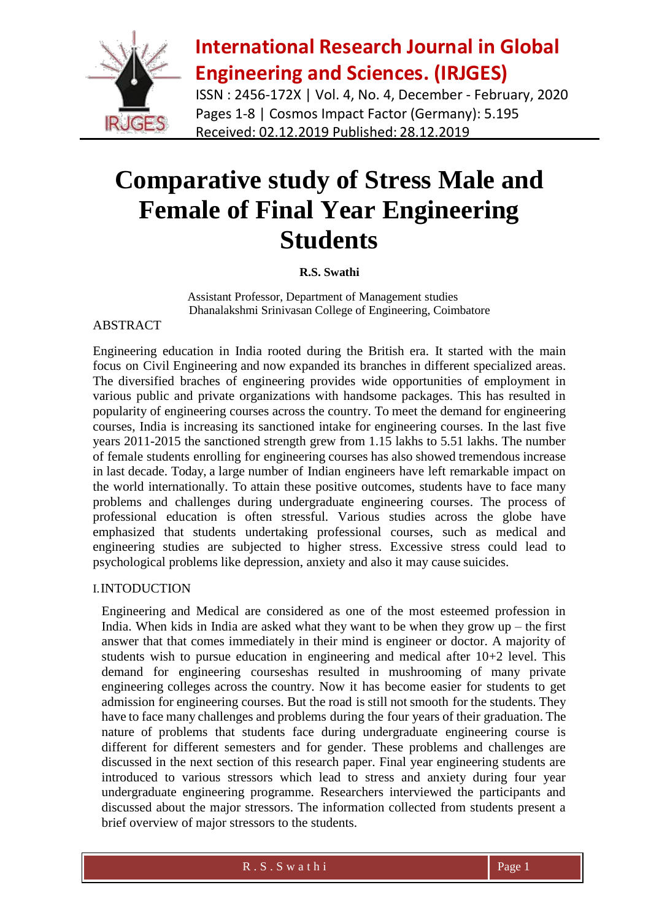

ISSN : 2456-172X | Vol. 4, No. 4, December - February, 2020 Pages 1-8 | Cosmos Impact Factor (Germany): 5.195 Received: 02.12.2019 Published: 28.12.2019

# **Comparative study of Stress Male and Female of Final Year Engineering Students**

### **R.S. Swathi**

Assistant Professor, Department of Management studies Dhanalakshmi Srinivasan College of Engineering, Coimbatore

#### ABSTRACT

Engineering education in India rooted during the British era. It started with the main focus on Civil Engineering and now expanded its branches in different specialized areas. The diversified braches of engineering provides wide opportunities of employment in various public and private organizations with handsome packages. This has resulted in popularity of engineering courses across the country. To meet the demand for engineering courses, India is increasing its sanctioned intake for engineering courses. In the last five years 2011-2015 the sanctioned strength grew from 1.15 lakhs to 5.51 lakhs. The number of female students enrolling for engineering courses has also showed tremendous increase in last decade. Today, a large number of Indian engineers have left remarkable impact on the world internationally. To attain these positive outcomes, students have to face many problems and challenges during undergraduate engineering courses. The process of professional education is often stressful. Various studies across the globe have emphasized that students undertaking professional courses, such as medical and engineering studies are subjected to higher stress. Excessive stress could lead to psychological problems like depression, anxiety and also it may cause suicides.

### I.INTODUCTION

Engineering and Medical are considered as one of the most esteemed profession in India. When kids in India are asked what they want to be when they grow  $up$  – the first answer that that comes immediately in their mind is engineer or doctor. A majority of students wish to pursue education in engineering and medical after 10+2 level. This demand for engineering courseshas resulted in mushrooming of many private engineering colleges across the country. Now it has become easier for students to get admission for engineering courses. But the road is still not smooth for the students. They have to face many challenges and problems during the four years of their graduation. The nature of problems that students face during undergraduate engineering course is different for different semesters and for gender. These problems and challenges are discussed in the next section of this research paper. Final year engineering students are introduced to various stressors which lead to stress and anxiety during four year undergraduate engineering programme. Researchers interviewed the participants and discussed about the major stressors. The information collected from students present a brief overview of major stressors to the students.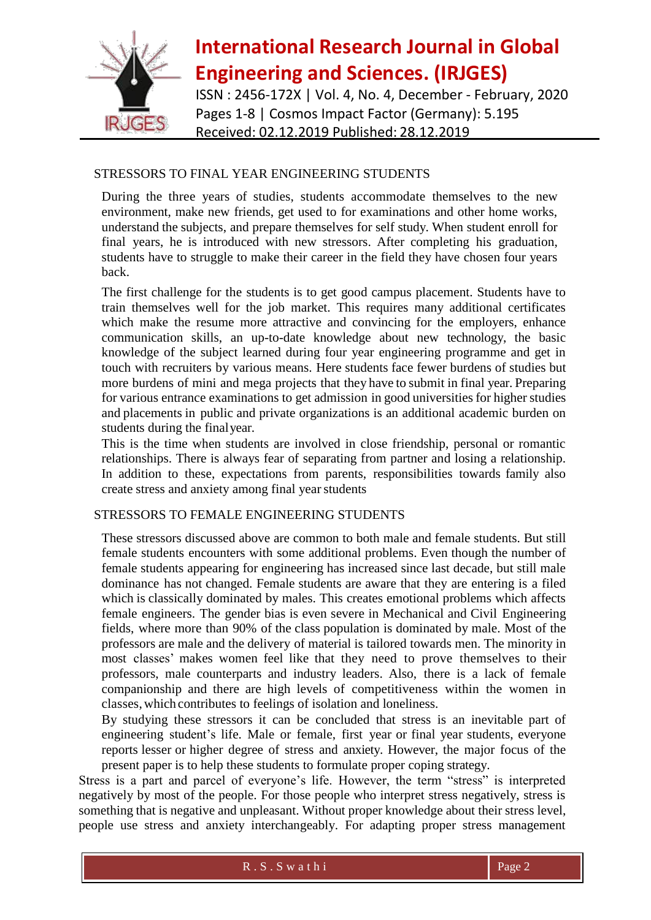

ISSN : 2456-172X | Vol. 4, No. 4, December - February, 2020 Pages 1-8 | Cosmos Impact Factor (Germany): 5.195 Received: 02.12.2019 Published: 28.12.2019

### STRESSORS TO FINAL YEAR ENGINEERING STUDENTS

During the three years of studies, students accommodate themselves to the new environment, make new friends, get used to for examinations and other home works, understand the subjects, and prepare themselves for self study. When student enroll for final years, he is introduced with new stressors. After completing his graduation, students have to struggle to make their career in the field they have chosen four years back.

The first challenge for the students is to get good campus placement. Students have to train themselves well for the job market. This requires many additional certificates which make the resume more attractive and convincing for the employers, enhance communication skills, an up-to-date knowledge about new technology, the basic knowledge of the subject learned during four year engineering programme and get in touch with recruiters by various means. Here students face fewer burdens of studies but more burdens of mini and mega projects that they have to submit in final year. Preparing for various entrance examinations to get admission in good universities for higher studies and placements in public and private organizations is an additional academic burden on students during the finalyear.

This is the time when students are involved in close friendship, personal or romantic relationships. There is always fear of separating from partner and losing a relationship. In addition to these, expectations from parents, responsibilities towards family also create stress and anxiety among final year students

### STRESSORS TO FEMALE ENGINEERING STUDENTS

These stressors discussed above are common to both male and female students. But still female students encounters with some additional problems. Even though the number of female students appearing for engineering has increased since last decade, but still male dominance has not changed. Female students are aware that they are entering is a filed which is classically dominated by males. This creates emotional problems which affects female engineers. The gender bias is even severe in Mechanical and Civil Engineering fields, where more than 90% of the class population is dominated by male. Most of the professors are male and the delivery of material is tailored towards men. The minority in most classes' makes women feel like that they need to prove themselves to their professors, male counterparts and industry leaders. Also, there is a lack of female companionship and there are high levels of competitiveness within the women in classes,which contributes to feelings of isolation and loneliness.

By studying these stressors it can be concluded that stress is an inevitable part of engineering student's life. Male or female, first year or final year students, everyone reports lesser or higher degree of stress and anxiety. However, the major focus of the present paper is to help these students to formulate proper coping strategy.

Stress is a part and parcel of everyone's life. However, the term "stress" is interpreted negatively by most of the people. For those people who interpret stress negatively, stress is something that is negative and unpleasant. Without proper knowledge about their stress level, people use stress and anxiety interchangeably. For adapting proper stress management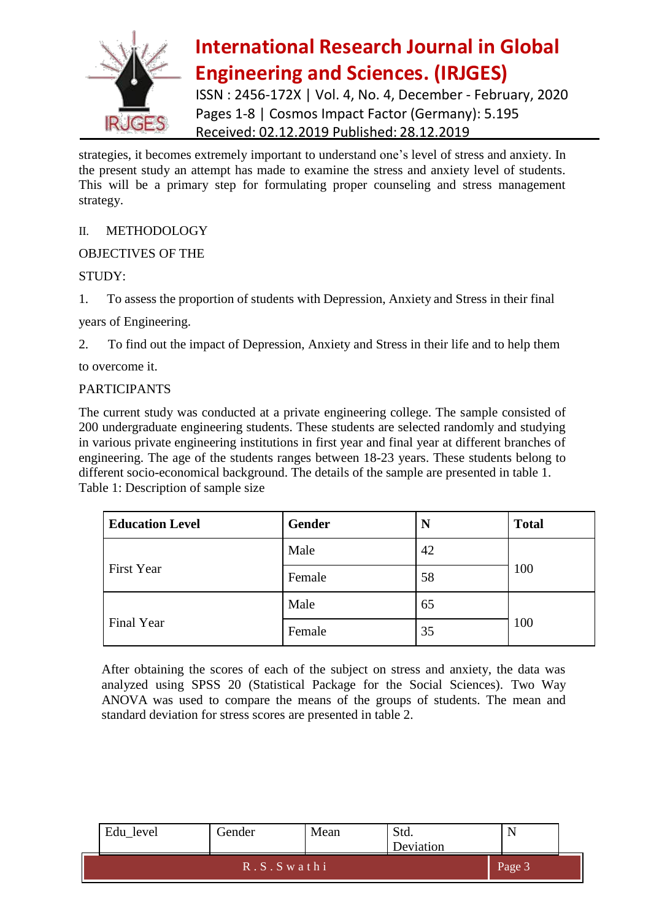

ISSN : 2456-172X | Vol. 4, No. 4, December - February, 2020 Pages 1-8 | Cosmos Impact Factor (Germany): 5.195 Received: 02.12.2019 Published: 28.12.2019

strategies, it becomes extremely important to understand one's level of stress and anxiety. In the present study an attempt has made to examine the stress and anxiety level of students. This will be a primary step for formulating proper counseling and stress management strategy.

### II. METHODOLOGY

### OBJECTIVES OF THE

### STUDY:

1. To assess the proportion of students with Depression, Anxiety and Stress in their final

years of Engineering.

2. To find out the impact of Depression, Anxiety and Stress in their life and to help them

to overcome it.

#### PARTICIPANTS

The current study was conducted at a private engineering college. The sample consisted of 200 undergraduate engineering students. These students are selected randomly and studying in various private engineering institutions in first year and final year at different branches of engineering. The age of the students ranges between 18-23 years. These students belong to different socio-economical background. The details of the sample are presented in table 1. Table 1: Description of sample size

| <b>Education Level</b> | <b>Gender</b> |    | <b>Total</b> |  |
|------------------------|---------------|----|--------------|--|
|                        | Male          | 42 |              |  |
| <b>First Year</b>      | Female        | 58 | 100          |  |
|                        | Male          | 65 |              |  |
| Final Year             | Female        | 35 | 100          |  |

After obtaining the scores of each of the subject on stress and anxiety, the data was analyzed using SPSS 20 (Statistical Package for the Social Sciences). Two Way ANOVA was used to compare the means of the groups of students. The mean and standard deviation for stress scores are presented in table 2.

| Edu_level | Gender        | Mean | Std.<br>Deviation |        |  |
|-----------|---------------|------|-------------------|--------|--|
|           | $R.S.S$ wathi |      |                   | Page 3 |  |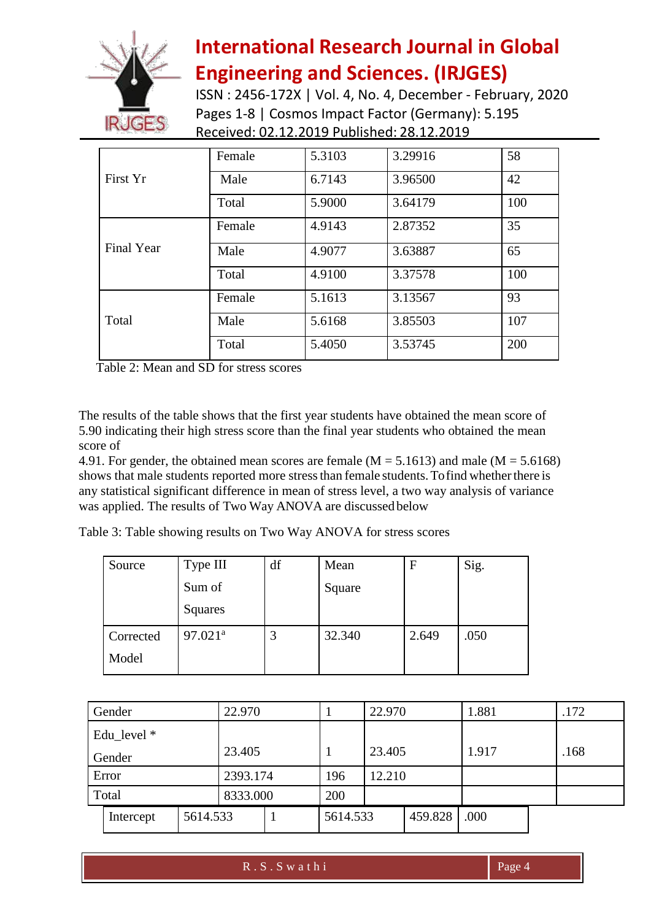

ISSN : 2456-172X | Vol. 4, No. 4, December - February, 2020 Pages 1-8 | Cosmos Impact Factor (Germany): 5.195 Received: 02.12.2019 Published: 28.12.2019

|            | Female | 5.3103 | 3.29916 | 58  |
|------------|--------|--------|---------|-----|
| First Yr   | Male   | 6.7143 | 3.96500 | 42  |
|            | Total  | 5.9000 | 3.64179 | 100 |
|            | Female | 4.9143 | 2.87352 | 35  |
| Final Year | Male   | 4.9077 | 3.63887 | 65  |
|            | Total  | 4.9100 | 3.37578 | 100 |
|            | Female | 5.1613 | 3.13567 | 93  |
| Total      | Male   | 5.6168 | 3.85503 | 107 |
|            | Total  | 5.4050 | 3.53745 | 200 |

Table 2: Mean and SD for stress scores

The results of the table shows that the first year students have obtained the mean score of 5.90 indicating their high stress score than the final year students who obtained the mean score of

4.91. For gender, the obtained mean scores are female ( $M = 5.1613$ ) and male ( $M = 5.6168$ ) shows that male students reported more stress than female students. To find whether there is any statistical significant difference in mean of stress level, a two way analysis of variance was applied. The results of Two Way ANOVA are discussed below

Table 3: Table showing results on Two Way ANOVA for stress scores

| Source    | Type III              | df | Mean   | $\mathbf F$ | Sig. |
|-----------|-----------------------|----|--------|-------------|------|
|           | Sum of                |    | Square |             |      |
|           | Squares               |    |        |             |      |
| Corrected | $97.021$ <sup>a</sup> |    | 32.340 | 2.649       | .050 |
| Model     |                       |    |        |             |      |

| Gender        |          | 22.970   |          | 22.970 |         | 1.881 | .172 |
|---------------|----------|----------|----------|--------|---------|-------|------|
| Edu_level $*$ |          |          |          |        |         |       |      |
| Gender        |          | 23.405   |          | 23.405 |         | 1.917 | .168 |
| Error         |          | 2393.174 | 196      | 12.210 |         |       |      |
| Total         |          | 8333.000 | 200      |        |         |       |      |
| Intercept     | 5614.533 |          | 5614.533 |        | 459.828 | .000  |      |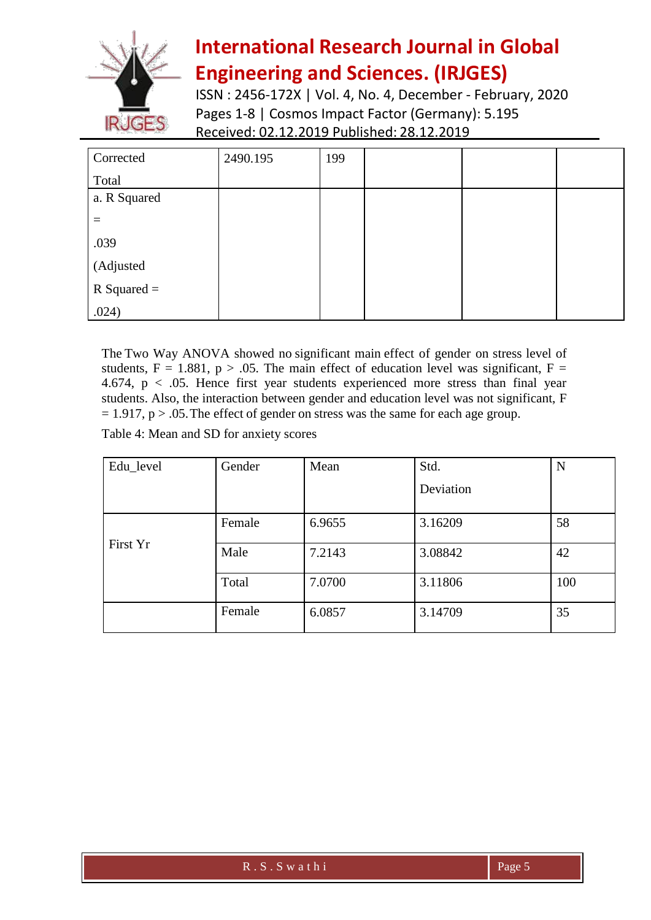

ISSN : 2456-172X | Vol. 4, No. 4, December - February, 2020 Pages 1-8 | Cosmos Impact Factor (Germany): 5.195 Received: 02.12.2019 Published: 28.12.2019

| Corrected     | 2490.195 | 199 |  |  |
|---------------|----------|-----|--|--|
| Total         |          |     |  |  |
| a. R Squared  |          |     |  |  |
|               |          |     |  |  |
| .039          |          |     |  |  |
| (Adjusted     |          |     |  |  |
| $R$ Squared = |          |     |  |  |
| .024)         |          |     |  |  |

The Two Way ANOVA showed no significant main effect of gender on stress level of students,  $F = 1.881$ ,  $p > .05$ . The main effect of education level was significant,  $F =$ 4.674, p < .05. Hence first year students experienced more stress than final year students. Also, the interaction between gender and education level was not significant, F  $= 1.917$ , p  $> .05$ . The effect of gender on stress was the same for each age group.

Table 4: Mean and SD for anxiety scores

| Edu_level | Gender | Mean   | Std.      | N   |
|-----------|--------|--------|-----------|-----|
|           |        |        | Deviation |     |
|           | Female | 6.9655 | 3.16209   | 58  |
| First Yr  | Male   | 7.2143 | 3.08842   | 42  |
|           | Total  | 7.0700 | 3.11806   | 100 |
|           | Female | 6.0857 | 3.14709   | 35  |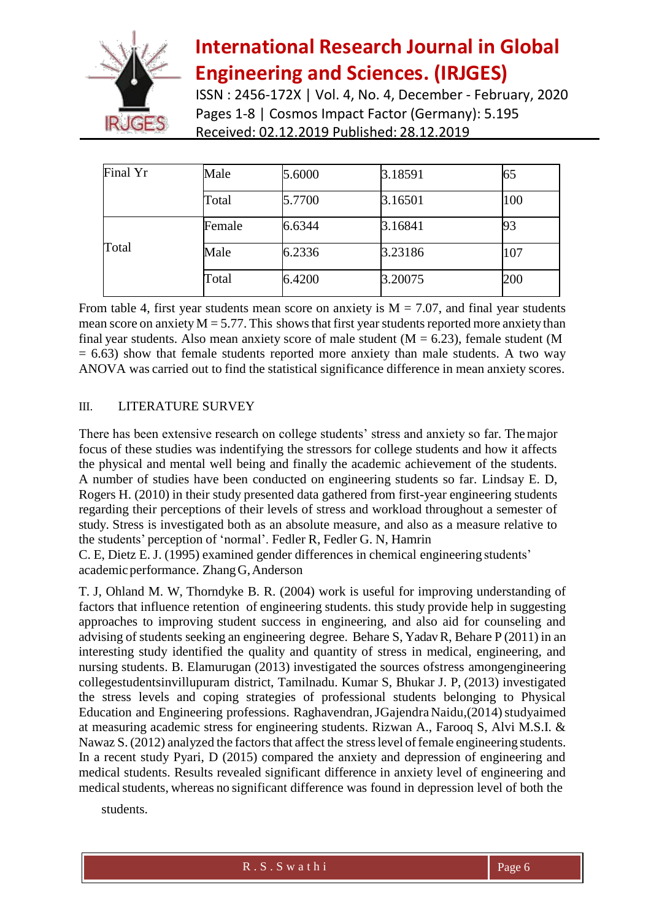

ISSN : 2456-172X | Vol. 4, No. 4, December - February, 2020 Pages 1-8 | Cosmos Impact Factor (Germany): 5.195 Received: 02.12.2019 Published: 28.12.2019

| Final Yr | Male   | 5.6000 | 3.18591 | 65  |
|----------|--------|--------|---------|-----|
|          | Total  | 5.7700 | 3.16501 | 100 |
|          | Female | 6.6344 | 3.16841 | 93  |
| Total    | Male   | 6.2336 | 3.23186 | 107 |
|          | Total  | 6.4200 | 3.20075 | 200 |

From table 4, first year students mean score on anxiety is  $M = 7.07$ , and final year students mean score on anxiety  $M = 5.77$ . This shows that first year students reported more anxiety than final year students. Also mean anxiety score of male student ( $M = 6.23$ ), female student (M  $= 6.63$ ) show that female students reported more anxiety than male students. A two way ANOVA was carried out to find the statistical significance difference in mean anxiety scores.

### III. LITERATURE SURVEY

There has been extensive research on college students' stress and anxiety so far. Themajor focus of these studies was indentifying the stressors for college students and how it affects the physical and mental well being and finally the academic achievement of the students. A number of studies have been conducted on engineering students so far. Lindsay E. D, Rogers H. (2010) in their study presented data gathered from first-year engineering students regarding their perceptions of their levels of stress and workload throughout a semester of study. Stress is investigated both as an absolute measure, and also as a measure relative to the students' perception of 'normal'. Fedler R, Fedler G. N, Hamrin

C. E, Dietz E. J. (1995) examined gender differences in chemical engineering students' academicperformance. ZhangG,Anderson

T. J, Ohland M. W, Thorndyke B. R. (2004) work is useful for improving understanding of factors that influence retention of engineering students. this study provide help in suggesting approaches to improving student success in engineering, and also aid for counseling and advising of students seeking an engineering degree. Behare S, YadavR, Behare P (2011) in an interesting study identified the quality and quantity of stress in medical, engineering, and nursing students. B. Elamurugan (2013) investigated the sources ofstress amongengineering collegestudentsinvillupuram district, Tamilnadu. Kumar S, Bhukar J. P, (2013) investigated the stress levels and coping strategies of professional students belonging to Physical Education and Engineering professions. Raghavendran, JGajendra Naidu, (2014) studyaimed at measuring academic stress for engineering students. Rizwan A., Farooq S, Alvi M.S.I. & Nawaz S. (2012) analyzed the factors that affect the stress level of female engineering students. In a recent study Pyari, D (2015) compared the anxiety and depression of engineering and medical students. Results revealed significant difference in anxiety level of engineering and medical students, whereas no significant difference was found in depression level of both the

students.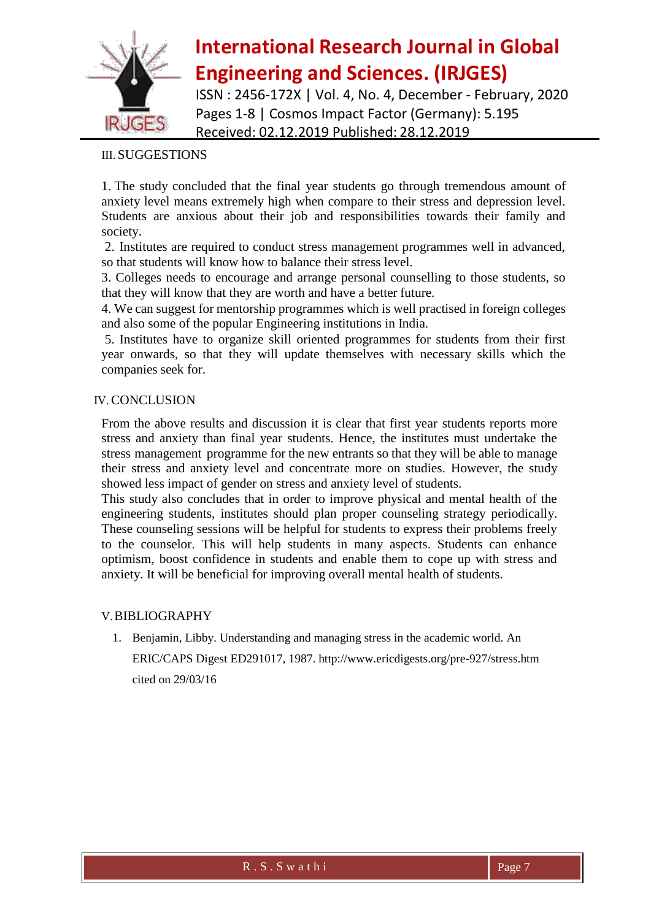

ISSN : 2456-172X | Vol. 4, No. 4, December - February, 2020 Pages 1-8 | Cosmos Impact Factor (Germany): 5.195 Received: 02.12.2019 Published: 28.12.2019

### III. SUGGESTIONS

1. The study concluded that the final year students go through tremendous amount of anxiety level means extremely high when compare to their stress and depression level. Students are anxious about their job and responsibilities towards their family and society.

2. Institutes are required to conduct stress management programmes well in advanced, so that students will know how to balance their stress level.

3. Colleges needs to encourage and arrange personal counselling to those students, so that they will know that they are worth and have a better future.

4. We can suggest for mentorship programmes which is well practised in foreign colleges and also some of the popular Engineering institutions in India.

5. Institutes have to organize skill oriented programmes for students from their first year onwards, so that they will update themselves with necessary skills which the companies seek for.

#### IV. CONCLUSION

From the above results and discussion it is clear that first year students reports more stress and anxiety than final year students. Hence, the institutes must undertake the stress management programme for the new entrants so that they will be able to manage their stress and anxiety level and concentrate more on studies. However, the study showed less impact of gender on stress and anxiety level of students.

This study also concludes that in order to improve physical and mental health of the engineering students, institutes should plan proper counseling strategy periodically. These counseling sessions will be helpful for students to express their problems freely to the counselor. This will help students in many aspects. Students can enhance optimism, boost confidence in students and enable them to cope up with stress and anxiety. It will be beneficial for improving overall mental health of students.

#### V.BIBLIOGRAPHY

1. Benjamin, Libby. Understanding and managing stress in the academic world. An ERIC/CAPS Digest ED291017, 1987. <http://www.ericdigests.org/pre-927/stress.htm> cited on 29/03/16